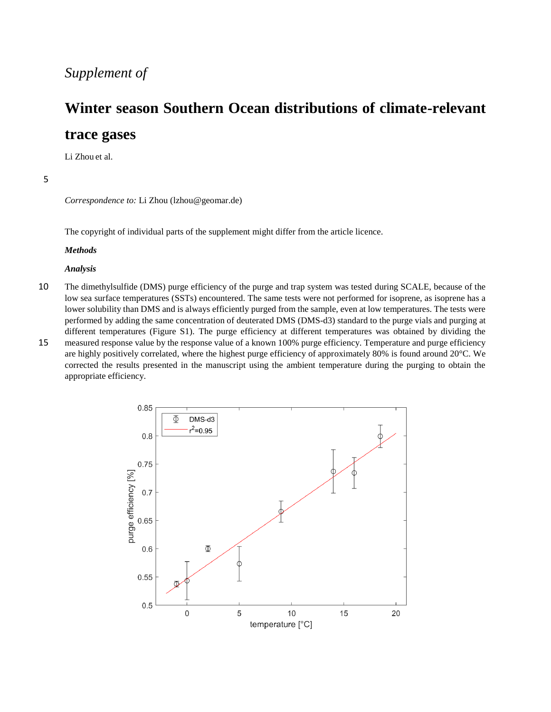# *Supplement of*

# **Winter season Southern Ocean distributions of climate-relevant**

# **trace gases**

Li Zhou et al.

# 5

*Correspondence to:* Li Zhou (lzhou@geomar.de)

The copyright of individual parts of the supplement might differ from the article licence.

#### *Methods*

#### *Analysis*

- 10 The dimethylsulfide (DMS) purge efficiency of the purge and trap system was tested during SCALE, because of the low sea surface temperatures (SSTs) encountered. The same tests were not performed for isoprene, as isoprene has a lower solubility than DMS and is always efficiently purged from the sample, even at low temperatures. The tests were performed by adding the same concentration of deuterated DMS (DMS-d3) standard to the purge vials and purging at different temperatures (Figure S1). The purge efficiency at different temperatures was obtained by dividing the
- 15 measured response value by the response value of a known 100% purge efficiency. Temperature and purge efficiency are highly positively correlated, where the highest purge efficiency of approximately 80% is found around 20°C. We corrected the results presented in the manuscript using the ambient temperature during the purging to obtain the appropriate efficiency.

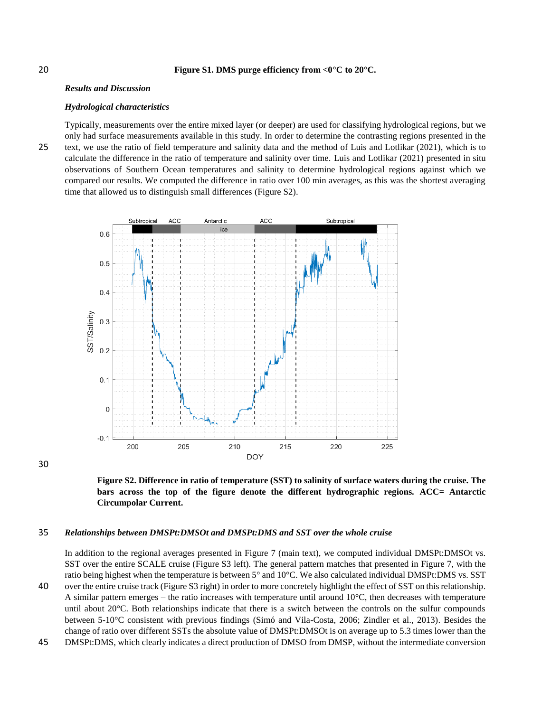## 20 **Figure S1. DMS purge efficiency from <0°C to 20°C.**

## *Results and Discussion*

#### *Hydrological characteristics*

Typically, measurements over the entire mixed layer (or deeper) are used for classifying hydrological regions, but we only had surface measurements available in this study. In order to determine the contrasting regions presented in the 25 text, we use the ratio of field temperature and salinity data and the method of Luis and Lotlikar (2021), which is to calculate the difference in the ratio of temperature and salinity over time. Luis and Lotlikar (2021) presented in situ observations of Southern Ocean temperatures and salinity to determine hydrological regions against which we compared our results. We computed the difference in ratio over 100 min averages, as this was the shortest averaging time that allowed us to distinguish small differences (Figure S2).



30



## 35 *Relationships between DMSPt:DMSOt and DMSPt:DMS and SST over the whole cruise*

In addition to the regional averages presented in Figure 7 (main text), we computed individual DMSPt:DMSOt vs. SST over the entire SCALE cruise (Figure S3 left). The general pattern matches that presented in Figure 7, with the ratio being highest when the temperature is between 5° and 10°C. We also calculated individual DMSPt:DMS vs. SST 40 over the entire cruise track (Figure S3 right) in order to more concretely highlight the effect of SST on this relationship.

A similar pattern emerges – the ratio increases with temperature until around  $10^{\circ}$ C, then decreases with temperature until about 20°C. Both relationships indicate that there is a switch between the controls on the sulfur compounds between 5-10°C consistent with previous findings (Simó and Vila-Costa, 2006; Zindler et al., 2013). Besides the change of ratio over different SSTs the absolute value of DMSPt:DMSOt is on average up to 5.3 times lower than the

45 DMSPt:DMS, which clearly indicates a direct production of DMSO from DMSP, without the intermediate conversion